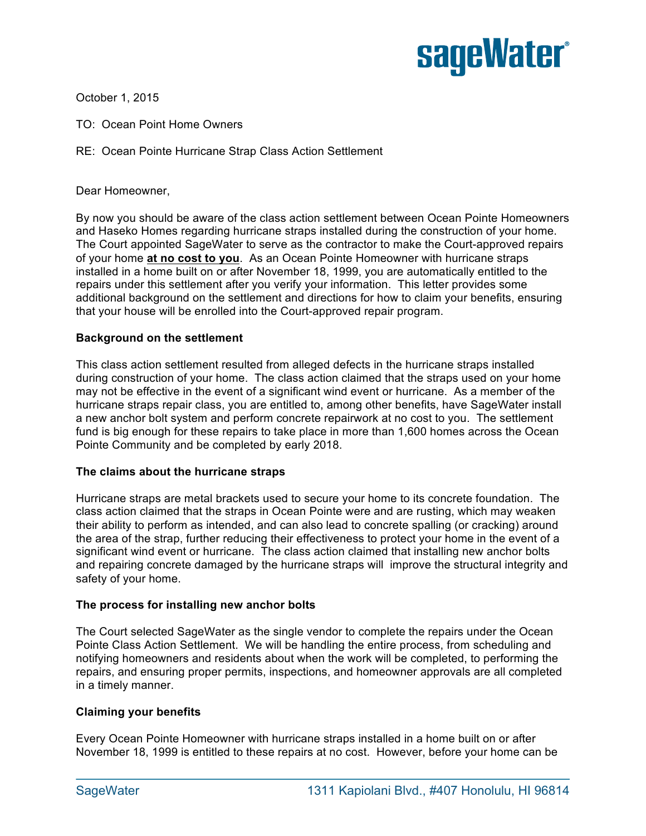

October 1, 2015

- TO: Ocean Point Home Owners
- RE: Ocean Pointe Hurricane Strap Class Action Settlement

Dear Homeowner,

By now you should be aware of the class action settlement between Ocean Pointe Homeowners and Haseko Homes regarding hurricane straps installed during the construction of your home. The Court appointed SageWater to serve as the contractor to make the Court-approved repairs of your home **at no cost to you**. As an Ocean Pointe Homeowner with hurricane straps installed in a home built on or after November 18, 1999, you are automatically entitled to the repairs under this settlement after you verify your information. This letter provides some additional background on the settlement and directions for how to claim your benefits, ensuring that your house will be enrolled into the Court-approved repair program.

### **Background on the settlement**

This class action settlement resulted from alleged defects in the hurricane straps installed during construction of your home. The class action claimed that the straps used on your home may not be effective in the event of a significant wind event or hurricane. As a member of the hurricane straps repair class, you are entitled to, among other benefits, have SageWater install a new anchor bolt system and perform concrete repairwork at no cost to you. The settlement fund is big enough for these repairs to take place in more than 1,600 homes across the Ocean Pointe Community and be completed by early 2018.

#### **The claims about the hurricane straps**

Hurricane straps are metal brackets used to secure your home to its concrete foundation. The class action claimed that the straps in Ocean Pointe were and are rusting, which may weaken their ability to perform as intended, and can also lead to concrete spalling (or cracking) around the area of the strap, further reducing their effectiveness to protect your home in the event of a significant wind event or hurricane. The class action claimed that installing new anchor bolts and repairing concrete damaged by the hurricane straps will improve the structural integrity and safety of your home.

### **The process for installing new anchor bolts**

The Court selected SageWater as the single vendor to complete the repairs under the Ocean Pointe Class Action Settlement. We will be handling the entire process, from scheduling and notifying homeowners and residents about when the work will be completed, to performing the repairs, and ensuring proper permits, inspections, and homeowner approvals are all completed in a timely manner.

### **Claiming your benefits**

Every Ocean Pointe Homeowner with hurricane straps installed in a home built on or after November 18, 1999 is entitled to these repairs at no cost. However, before your home can be